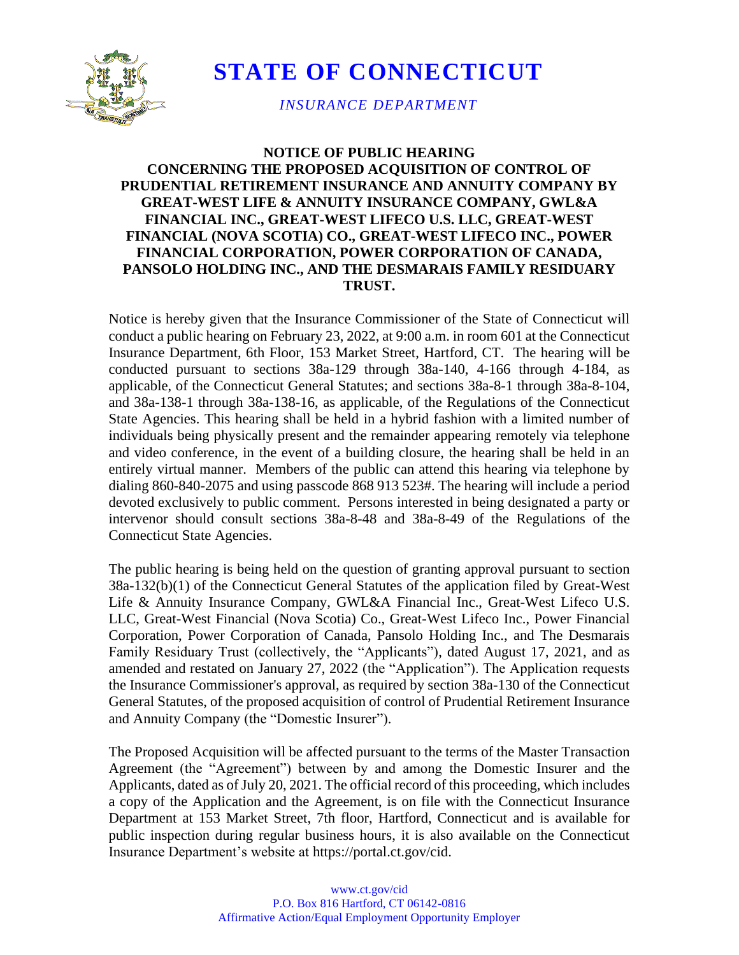

**STATE OF CONNECTICUT**

*INSURANCE DEPARTMENT*

## **NOTICE OF PUBLIC HEARING CONCERNING THE PROPOSED ACQUISITION OF CONTROL OF PRUDENTIAL RETIREMENT INSURANCE AND ANNUITY COMPANY BY GREAT-WEST LIFE & ANNUITY INSURANCE COMPANY, GWL&A FINANCIAL INC., GREAT-WEST LIFECO U.S. LLC, GREAT-WEST FINANCIAL (NOVA SCOTIA) CO., GREAT-WEST LIFECO INC., POWER FINANCIAL CORPORATION, POWER CORPORATION OF CANADA, PANSOLO HOLDING INC., AND THE DESMARAIS FAMILY RESIDUARY TRUST.**

Notice is hereby given that the Insurance Commissioner of the State of Connecticut will conduct a public hearing on February 23, 2022, at 9:00 a.m. in room 601 at the Connecticut Insurance Department, 6th Floor, 153 Market Street, Hartford, CT. The hearing will be conducted pursuant to sections 38a-129 through 38a-140, 4-166 through 4-184, as applicable, of the Connecticut General Statutes; and sections 38a-8-1 through 38a-8-104, and 38a-138-1 through 38a-138-16, as applicable, of the Regulations of the Connecticut State Agencies. This hearing shall be held in a hybrid fashion with a limited number of individuals being physically present and the remainder appearing remotely via telephone and video conference, in the event of a building closure, the hearing shall be held in an entirely virtual manner. Members of the public can attend this hearing via telephone by dialing 860-840-2075 and using passcode 868 913 523#. The hearing will include a period devoted exclusively to public comment. Persons interested in being designated a party or intervenor should consult sections 38a-8-48 and 38a-8-49 of the Regulations of the Connecticut State Agencies.

The public hearing is being held on the question of granting approval pursuant to section 38a-132(b)(1) of the Connecticut General Statutes of the application filed by Great-West Life & Annuity Insurance Company, GWL&A Financial Inc., Great-West Lifeco U.S. LLC, Great-West Financial (Nova Scotia) Co., Great-West Lifeco Inc., Power Financial Corporation, Power Corporation of Canada, Pansolo Holding Inc., and The Desmarais Family Residuary Trust (collectively, the "Applicants"), dated August 17, 2021, and as amended and restated on January 27, 2022 (the "Application"). The Application requests the Insurance Commissioner's approval, as required by section 38a-130 of the Connecticut General Statutes, of the proposed acquisition of control of Prudential Retirement Insurance and Annuity Company (the "Domestic Insurer").

The Proposed Acquisition will be affected pursuant to the terms of the Master Transaction Agreement (the "Agreement") between by and among the Domestic Insurer and the Applicants, dated as of July 20, 2021. The official record of this proceeding, which includes a copy of the Application and the Agreement, is on file with the Connecticut Insurance Department at 153 Market Street, 7th floor, Hartford, Connecticut and is available for public inspection during regular business hours, it is also available on the Connecticut Insurance Department's website at https://portal.ct.gov/cid.